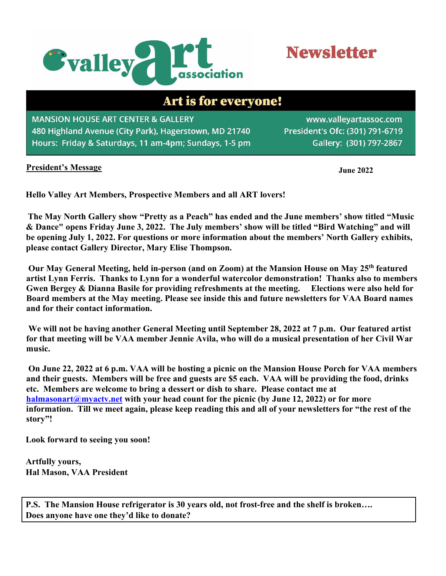

# **Newsletter**

## Art is for everyone!

**MANSION HOUSE ART CENTER & GALLERY** 480 Highland Avenue (City Park), Hagerstown, MD 21740 Hours: Friday & Saturdays, 11 am-4pm; Sundays, 1-5 pm

www.valleyartassoc.com President's Ofc: (301) 791-6719 Gallery: (301) 797-2867

#### **President's Message**

**June 2022**

**Hello Valley Art Members, Prospective Members and all ART lovers!**

**The May North Gallery show "Pretty as a Peach" has ended and the June members' show titled "Music & Dance" opens Friday June 3, 2022. The July members' show will be titled "Bird Watching" and will be opening July 1, 2022. For questions or more information about the members' North Gallery exhibits, please contact Gallery Director, Mary Elise Thompson.** 

**Our May General Meeting, held in-person (and on Zoom) at the Mansion House on May 25th featured artist Lynn Ferris. Thanks to Lynn for a wonderful watercolor demonstration! Thanks also to members Gwen Bergey & Dianna Basile for providing refreshments at the meeting. Elections were also held for Board members at the May meeting. Please see inside this and future newsletters for VAA Board names and for their contact information.** 

**We will not be having another General Meeting until September 28, 2022 at 7 p.m. Our featured artist for that meeting will be VAA member Jennie Avila, who will do a musical presentation of her Civil War music.** 

**On June 22, 2022 at 6 p.m. VAA will be hosting a picnic on the Mansion House Porch for VAA members and their guests. Members will be free and guests are \$5 each. VAA will be providing the food, drinks etc. Members are welcome to bring a dessert or dish to share. Please contact me at [halmasonart@myactv.net](mailto:halmasonart@myactv.net) with your head count for the picnic (by June 12, 2022) or for more information. Till we meet again, please keep reading this and all of your newsletters for "the rest of the story"!** 

**Look forward to seeing you soon!** 

**Artfully yours, Hal Mason, VAA President** 

**P.S. The Mansion House refrigerator is 30 years old, not frost-free and the shelf is broken…. Does anyone have one they'd like to donate?**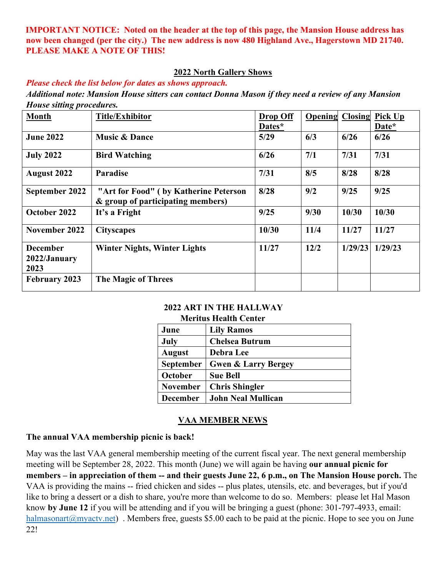**IMPORTANT NOTICE: Noted on the header at the top of this page, the Mansion House address has now been changed (per the city.) The new address is now 480 Highland Ave., Hagerstown MD 21740. PLEASE MAKE A NOTE OF THIS!**

#### **2022 North Gallery Shows**

*Please check the list below for dates as shows approach. Additional note: Mansion House sitters can contact Donna Mason if they need a review of any Mansion House sitting procedures.*

| $\sigma$ $\mathbf{r}$<br><b>Month</b>   | <b>Title/Exhibitor</b>                                                     | <b>Drop Off</b><br>Dates* | Opening | Closing | Pick Up<br>Date* |
|-----------------------------------------|----------------------------------------------------------------------------|---------------------------|---------|---------|------------------|
| <b>June 2022</b>                        | <b>Music &amp; Dance</b>                                                   | 5/29                      | 6/3     | 6/26    | 6/26             |
| <b>July 2022</b>                        | <b>Bird Watching</b>                                                       | 6/26                      | 7/1     | 7/31    | 7/31             |
| <b>August 2022</b>                      | Paradise                                                                   | 7/31                      | 8/5     | 8/28    | 8/28             |
| September 2022                          | "Art for Food" (by Katherine Peterson<br>& group of participating members) | 8/28                      | 9/2     | 9/25    | 9/25             |
| October 2022                            | It's a Fright                                                              | 9/25                      | 9/30    | 10/30   | 10/30            |
| November 2022                           | <b>Cityscapes</b>                                                          | 10/30                     | 11/4    | 11/27   | 11/27            |
| <b>December</b><br>2022/January<br>2023 | <b>Winter Nights, Winter Lights</b>                                        | 11/27                     | 12/2    | 1/29/23 | 1/29/23          |
| <b>February 2023</b>                    | <b>The Magic of Threes</b>                                                 |                           |         |         |                  |

#### **2022 ART IN THE HALLWAY**

#### **Meritus Health Center**

| June             | <b>Lily Ramos</b>              |
|------------------|--------------------------------|
| July             | <b>Chelsea Butrum</b>          |
| <b>August</b>    | Debra Lee                      |
| <b>September</b> | <b>Gwen &amp; Larry Bergey</b> |
| October          | <b>Sue Bell</b>                |
| <b>November</b>  | <b>Chris Shingler</b>          |
| <b>December</b>  | <b>John Neal Mullican</b>      |

#### **VAA MEMBER NEWS**

#### **The annual VAA membership picnic is back!**

May was the last VAA general membership meeting of the current fiscal year. The next general membership meeting will be September 28, 2022. This month (June) we will again be having **our annual picnic for members – in appreciation of them -- and their guests June 22, 6 p.m., on The Mansion House porch.** The VAA is providing the mains -- fried chicken and sides -- plus plates, utensils, etc. and beverages, but if you'd like to bring a dessert or a dish to share, you're more than welcome to do so. Members: please let Hal Mason know **by June 12** if you will be attending and if you will be bringing a guest (phone: 301-797-4933, email: halmasonart@myactv.net). Members free, guests \$5.00 each to be paid at the picnic. Hope to see you on June 22!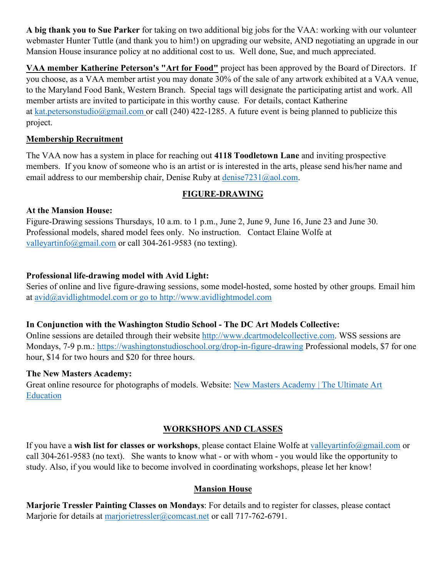**A big thank you to Sue Parker** for taking on two additional big jobs for the VAA: working with our volunteer webmaster Hunter Tuttle (and thank you to him!) on upgrading our website, AND negotiating an upgrade in our Mansion House insurance policy at no additional cost to us. Well done, Sue, and much appreciated.

**VAA member Katherine Peterson's "Art for Food"** project has been approved by the Board of Directors. If you choose, as a VAA member artist you may donate 30% of the sale of any artwork exhibited at a VAA venue, to the Maryland Food Bank, Western Branch. Special tags will designate the participating artist and work. All member artists are invited to participate in this worthy cause. For details, contact Katherine at [kat.petersonstudio@gmail.com](mailto:kat.petersonstudio@gmail.com) or call (240) 422-1285. A future event is being planned to publicize this project.

#### **Membership Recruitment**

The VAA now has a system in place for reaching out **4118 Toodletown Lane** and inviting prospective members. If you know of someone who is an artist or is interested in the arts, please send his/her name and email address to our membership chair, Denise Ruby at denise7231@aol.com.

## **FIGURE-DRAWING**

#### **At the Mansion House:**

Figure-Drawing sessions Thursdays, 10 a.m. to 1 p.m., June 2, June 9, June 16, June 23 and June 30. Professional models, shared model fees only. No instruction. Contact Elaine Wolfe at valleyartinfo@gmail.com or call 304-261-9583 (no texting).

#### **Professional life-drawing model with Avid Light:**

Series of online and live figure-drawing sessions, some model-hosted, some hosted by other groups. Email him at avid@avidlightmodel.com or go to [http://www.avidlightmodel.com](http://www.avidlightmodel.com/)

#### **In Conjunction with the Washington Studio School - The DC Art Models Collective:**

Online sessions are detailed through their website [http://www.dcartmodelcollective.com.](http://www.dcartmodelcollective.com/) WSS sessions are Mondays, 7-9 p.m.:<https://washingtonstudioschool.org/drop-in-figure-drawing> Professional models, \$7 for one hour, \$14 for two hours and \$20 for three hours.

#### **The New Masters Academy:**

Great online resource for photographs of models. Website: [New Masters Academy | The Ultimate Art](http://www.nma.art/)  [Education](http://www.nma.art/)

## **WORKSHOPS AND CLASSES**

If you have a **wish list for classes or workshops**, please contact Elaine Wolfe at valleyartinfo@gmail.com or call 304-261-9583 (no text). She wants to know what - or with whom - you would like the opportunity to study. Also, if you would like to become involved in coordinating workshops, please let her know!

## **Mansion House**

**Marjorie Tressler Painting Classes on Mondays**: For details and to register for classes, please contact Marjorie for details at marjorietressler@comcast.net or call 717-762-6791.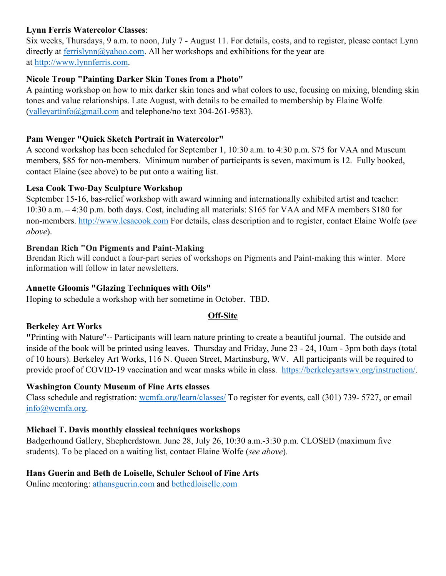#### **Lynn Ferris Watercolor Classes**:

Six weeks, Thursdays, 9 a.m. to noon, July 7 - August 11. For details, costs, and to register, please contact Lynn directly at ferrislynn@yahoo.com. All her workshops and exhibitions for the year are at http://www.lynnferris.com.

### **Nicole Troup "Painting Darker Skin Tones from a Photo"**

A painting workshop on how to mix darker skin tones and what colors to use, focusing on mixing, blending skin tones and value relationships. Late August, with details to be emailed to membership by Elaine Wolfe (valleyartinfo@gmail.com and telephone/no text 304-261-9583).

### **Pam Wenger "Quick Sketch Portrait in Watercolor"**

A second workshop has been scheduled for September 1, 10:30 a.m. to 4:30 p.m. \$75 for VAA and Museum members, \$85 for non-members. Minimum number of participants is seven, maximum is 12. Fully booked, contact Elaine (see above) to be put onto a waiting list.

#### **Lesa Cook Two-Day Sculpture Workshop**

September 15-16, bas-relief workshop with award winning and internationally exhibited artist and teacher: 10:30 a.m. – 4:30 p.m. both days. Cost, including all materials: \$165 for VAA and MFA members \$180 for non-members. http://www.lesacook.com For details, class description and to register, contact Elaine Wolfe (*see above*).

#### **Brendan Rich "On Pigments and Paint-Making**

Brendan Rich will conduct a four-part series of workshops on Pigments and Paint-making this winter. More information will follow in later newsletters.

#### **Annette Gloomis "Glazing Techniques with Oils"**

Hoping to schedule a workshop with her sometime in October. TBD.

## **Off-Site**

## **Berkeley Art Works**

**"**Printing with Nature"-- Participants will learn nature printing to create a beautiful journal. The outside and inside of the book will be printed using leaves. Thursday and Friday, June 23 - 24, 10am - 3pm both days (total of 10 hours). Berkeley Art Works, 116 N. Queen Street, Martinsburg, WV. All participants will be required to provide proof of COVID-19 vaccination and wear masks while in class. [https://berkeleyartswv.org/instruction/.](https://berkeleyartswv.org/instruction/)

#### **Washington County Museum of Fine Arts classes**

Class schedule and registration: wcmfa.org/learn/classes/ To register for events, call (301) 739- 5727, or email info@wcmfa.org.

#### **Michael T. Davis monthly classical techniques workshops**

Badgerhound Gallery, Shepherdstown. June 28, July 26, 10:30 a.m.-3:30 p.m. CLOSED (maximum five students). To be placed on a waiting list, contact Elaine Wolfe (*see above*).

## **Hans Guerin and Beth de Loiselle, Schuler School of Fine Arts**

Online mentoring: athansguerin.com and bethedloiselle.com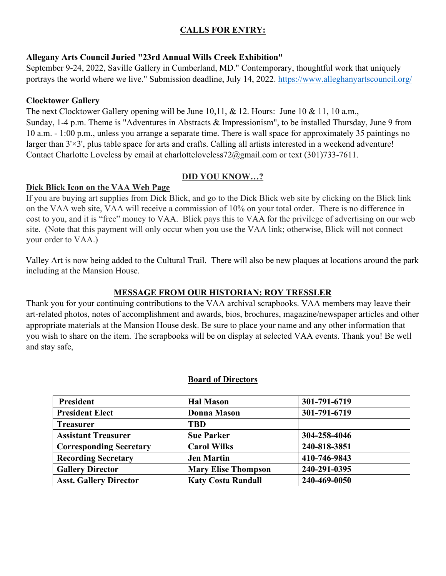## **CALLS FOR ENTRY:**

#### **Allegany Arts Council Juried "23rd Annual Wills Creek Exhibition"**

September 9-24, 2022, Saville Gallery in Cumberland, MD." Contemporary, thoughtful work that uniquely portrays the world where we live." Submission deadline, July 14, 2022.<https://www.alleghanyartscouncil.org/>

#### **Clocktower Gallery**

The next Clocktower Gallery opening will be June 10,11, & 12. Hours: June 10 & 11, 10 a.m., Sunday, 1-4 p.m. Theme is "Adventures in Abstracts & Impressionism", to be installed Thursday, June 9 from 10 a.m. - 1:00 p.m., unless you arrange a separate time. There is wall space for approximately 35 paintings no larger than  $3' \times 3'$ , plus table space for arts and crafts. Calling all artists interested in a weekend adventure! Contact Charlotte Loveless by email at charlotteloveless72@gmail.com or text (301)733-7611.

#### **DID YOU KNOW…?**

#### **Dick Blick Icon on the VAA Web Page**

If you are buying art supplies from Dick Blick, and go to the Dick Blick web site by clicking on the Blick link on the VAA web site, VAA will receive a commission of 10% on your total order. There is no difference in cost to you, and it is "free" money to VAA. Blick pays this to VAA for the privilege of advertising on our web site. (Note that this payment will only occur when you use the VAA link; otherwise, Blick will not connect your order to VAA.)

Valley Art is now being added to the Cultural Trail. There will also be new plaques at locations around the park including at the Mansion House.

#### **MESSAGE FROM OUR HISTORIAN: ROY TRESSLER**

Thank you for your continuing contributions to the VAA archival scrapbooks. VAA members may leave their art-related photos, notes of accomplishment and awards, bios, brochures, magazine/newspaper articles and other appropriate materials at the Mansion House desk. Be sure to place your name and any other information that you wish to share on the item. The scrapbooks will be on display at selected VAA events. Thank you! Be well and stay safe,

#### **Board of Directors**

| <b>President</b>               | <b>Hal Mason</b>           | 301-791-6719 |
|--------------------------------|----------------------------|--------------|
| <b>President Elect</b>         | <b>Donna Mason</b>         | 301-791-6719 |
| <b>Treasurer</b>               | <b>TBD</b>                 |              |
| <b>Assistant Treasurer</b>     | <b>Sue Parker</b>          | 304-258-4046 |
| <b>Corresponding Secretary</b> | <b>Carol Wilks</b>         | 240-818-3851 |
| <b>Recording Secretary</b>     | <b>Jen Martin</b>          | 410-746-9843 |
| <b>Gallery Director</b>        | <b>Mary Elise Thompson</b> | 240-291-0395 |
| <b>Asst. Gallery Director</b>  | <b>Katy Costa Randall</b>  | 240-469-0050 |